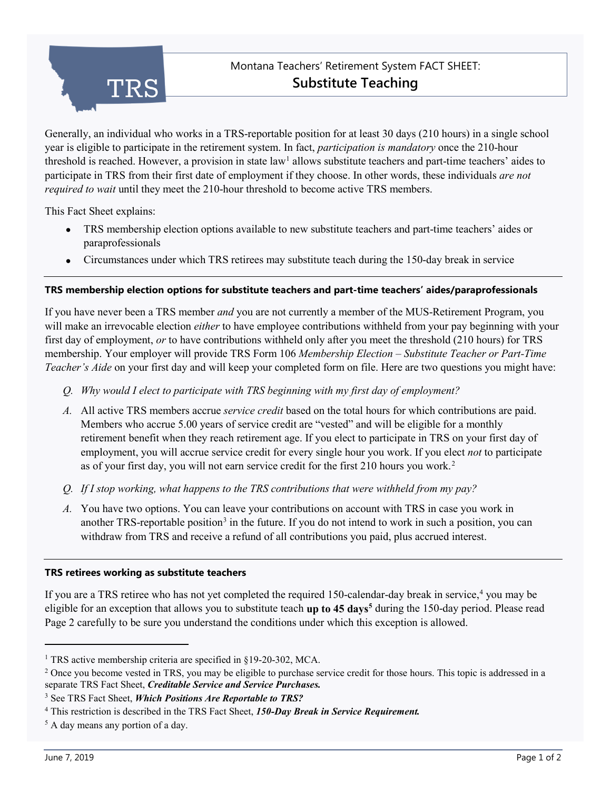

# Montana Teachers' Retirement System FACT SHEET: **Substitute Teaching**

Generally, an individual who works in a TRS-reportable position for at least 30 days (210 hours) in a single school year is eligible to participate in the retirement system. In fact, *participation is mandatory* once the 210-hour threshold is reached. However, a provision in state law<sup>[1](#page-0-0)</sup> allows substitute teachers and part-time teachers' aides to participate in TRS from their first date of employment if they choose. In other words, these individuals *are not required to wait* until they meet the 210-hour threshold to become active TRS members.

This Fact Sheet explains:

- TRS membership election options available to new substitute teachers and part-time teachers' aides or paraprofessionals
- Circumstances under which TRS retirees may substitute teach during the 150-day break in service

### **TRS membership election options for substitute teachers and part-time teachers' aides/paraprofessionals**

If you have never been a TRS member *and* you are not currently a member of the MUS-Retirement Program, you will make an irrevocable election *either* to have employee contributions withheld from your pay beginning with your first day of employment, *or* to have contributions withheld only after you meet the threshold (210 hours) for TRS membership. Your employer will provide TRS Form 106 *Membership Election – Substitute Teacher or Part-Time Teacher's Aide* on your first day and will keep your completed form on file. Here are two questions you might have:

- *Q. Why would I elect to participate with TRS beginning with my first day of employment?*
- *A.* All active TRS members accrue *service credit* based on the total hours for which contributions are paid. Members who accrue 5.00 years of service credit are "vested" and will be eligible for a monthly retirement benefit when they reach retirement age. If you elect to participate in TRS on your first day of employment, you will accrue service credit for every single hour you work. If you elect *not* to participate as of your first day, you will not earn service credit for the first 210 hours you work. [2](#page-0-1)
- *Q. If I stop working, what happens to the TRS contributions that were withheld from my pay?*
- *A.* You have two options. You can leave your contributions on account with TRS in case you work in another TRS-reportable position<sup>[3](#page-0-2)</sup> in the future. If you do not intend to work in such a position, you can withdraw from TRS and receive a refund of all contributions you paid, plus accrued interest.

### **TRS retirees working as substitute teachers**

If you are a TRS retiree who has not yet completed the required 150-calendar-day break in service,<sup>[4](#page-0-3)</sup> you may be eligible for an exception that allows you to substitute teach **up to 45 days[5](#page-0-4)** during the 150-day period. Please read Page 2 carefully to be sure you understand the conditions under which this exception is allowed.

j

<span id="page-0-0"></span><sup>&</sup>lt;sup>1</sup> TRS active membership criteria are specified in §19-20-302, MCA.

<span id="page-0-1"></span><sup>&</sup>lt;sup>2</sup> Once you become vested in TRS, you may be eligible to purchase service credit for those hours. This topic is addressed in a separate TRS Fact Sheet, *Creditable Service and Service Purchases.*

<span id="page-0-2"></span><sup>3</sup> See TRS Fact Sheet, *Which Positions Are Reportable to TRS?*

<span id="page-0-3"></span><sup>4</sup> This restriction is described in the TRS Fact Sheet, *150-Day Break in Service Requirement.*

<span id="page-0-4"></span><sup>5</sup> A day means any portion of a day.